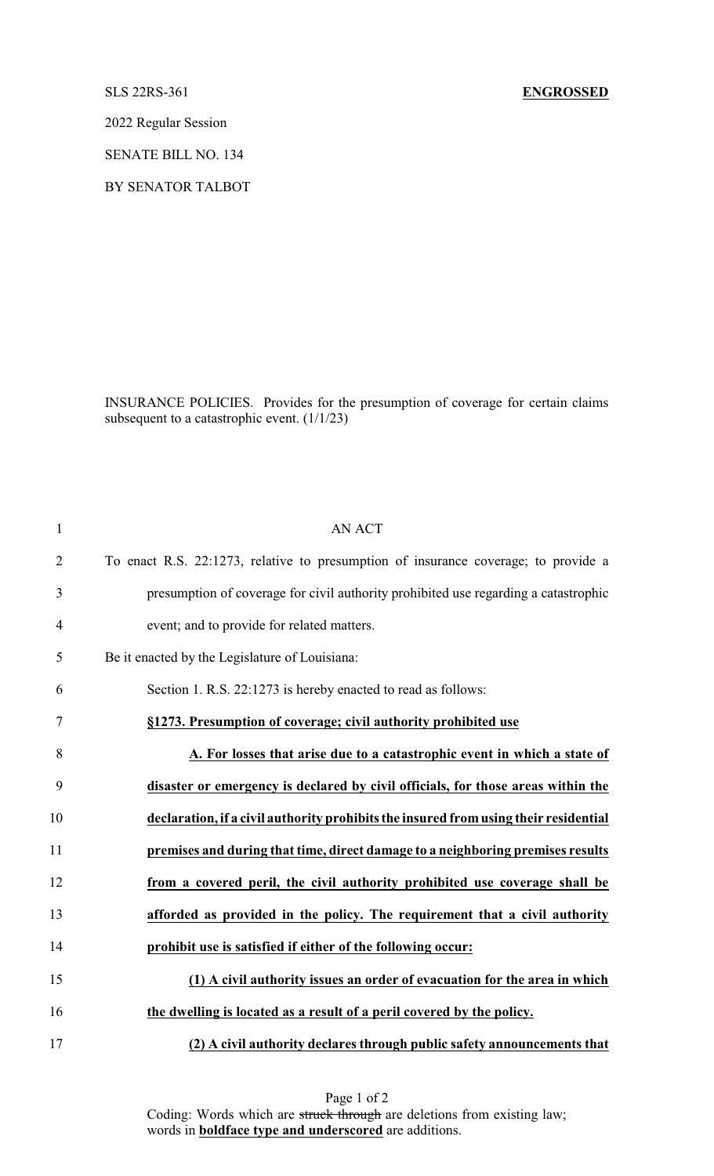2022 Regular Session

SENATE BILL NO. 134

BY SENATOR TALBOT

INSURANCE POLICIES. Provides for the presumption of coverage for certain claims subsequent to a catastrophic event. (1/1/23)

| $\mathbf{1}$   | <b>AN ACT</b>                                                                        |
|----------------|--------------------------------------------------------------------------------------|
| $\overline{2}$ | To enact R.S. 22:1273, relative to presumption of insurance coverage; to provide a   |
| 3              | presumption of coverage for civil authority prohibited use regarding a catastrophic  |
| $\overline{4}$ | event; and to provide for related matters.                                           |
| 5              | Be it enacted by the Legislature of Louisiana:                                       |
| 6              | Section 1. R.S. 22:1273 is hereby enacted to read as follows:                        |
| 7              | §1273. Presumption of coverage; civil authority prohibited use                       |
| 8              | A. For losses that arise due to a catastrophic event in which a state of             |
| 9              | disaster or emergency is declared by civil officials, for those areas within the     |
| 10             | declaration, if a civil authority prohibits the insured from using their residential |
| 11             | premises and during that time, direct damage to a neighboring premises results       |
| 12             | from a covered peril, the civil authority prohibited use coverage shall be           |
| 13             | afforded as provided in the policy. The requirement that a civil authority           |
| 14             | prohibit use is satisfied if either of the following occur:                          |
| 15             | (1) A civil authority issues an order of evacuation for the area in which            |
| 16             | the dwelling is located as a result of a peril covered by the policy.                |
| 17             | (2) A civil authority declares through public safety announcements that              |

Page 1 of 2 Coding: Words which are struck through are deletions from existing law; words in **boldface type and underscored** are additions.